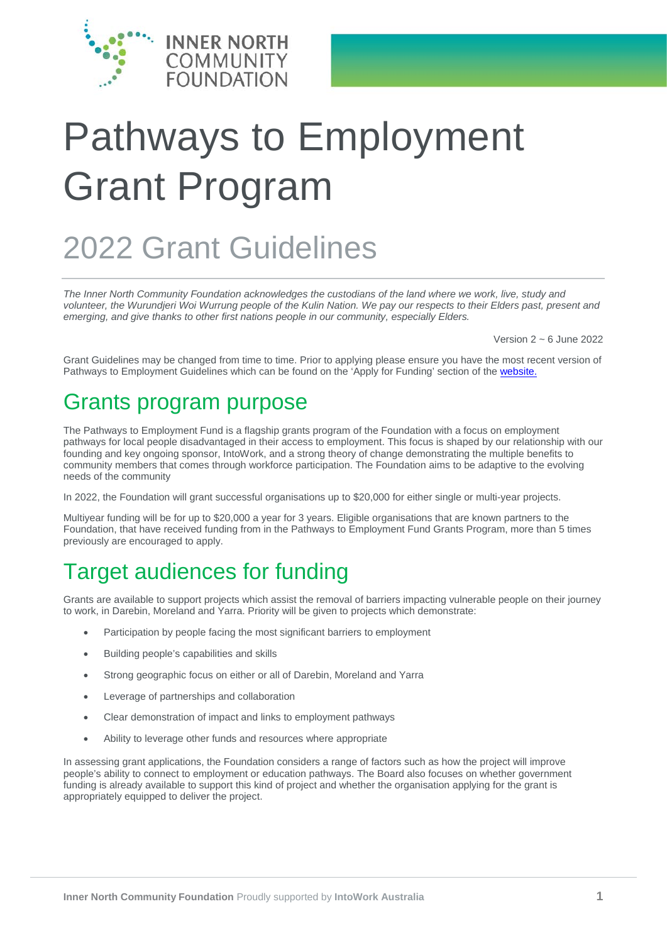

# Pathways to Employment Grant Program

# 2022 Grant Guidelines

*The Inner North Community Foundation acknowledges the custodians of the land where we work, live, study and volunteer, the Wurundjeri Woi Wurrung people of the Kulin Nation. We pay our respects to their Elders past, present and emerging, and give thanks to other first nations people in our community, especially Elders.*

Version 2 ~ 6 June 2022

Grant Guidelines may be changed from time to time. Prior to applying please ensure you have the most recent version of Pathways to Employment Guidelines which can be found on the 'Apply for Funding' section of the [website.](http://www.innernorthfoundation.org.au/grants/current-grants/)

#### Grants program purpose

The Pathways to Employment Fund is a flagship grants program of the Foundation with a focus on employment pathways for local people disadvantaged in their access to employment. This focus is shaped by our relationship with our founding and key ongoing sponsor, IntoWork, and a strong theory of change demonstrating the multiple benefits to community members that comes through workforce participation. The Foundation aims to be adaptive to the evolving needs of the community

In 2022, the Foundation will grant successful organisations up to \$20,000 for either single or multi-year projects.

Multiyear funding will be for up to \$20,000 a year for 3 years. Eligible organisations that are known partners to the Foundation, that have received funding from in the Pathways to Employment Fund Grants Program, more than 5 times previously are encouraged to apply.

### Target audiences for funding

Grants are available to support projects which assist the removal of barriers impacting vulnerable people on their journey to work, in Darebin, Moreland and Yarra. Priority will be given to projects which demonstrate:

- Participation by people facing the most significant barriers to employment
- Building people's capabilities and skills
- Strong geographic focus on either or all of Darebin, Moreland and Yarra
- Leverage of partnerships and collaboration
- Clear demonstration of impact and links to employment pathways
- Ability to leverage other funds and resources where appropriate

In assessing grant applications, the Foundation considers a range of factors such as how the project will improve people's ability to connect to employment or education pathways. The Board also focuses on whether government funding is already available to support this kind of project and whether the organisation applying for the grant is appropriately equipped to deliver the project.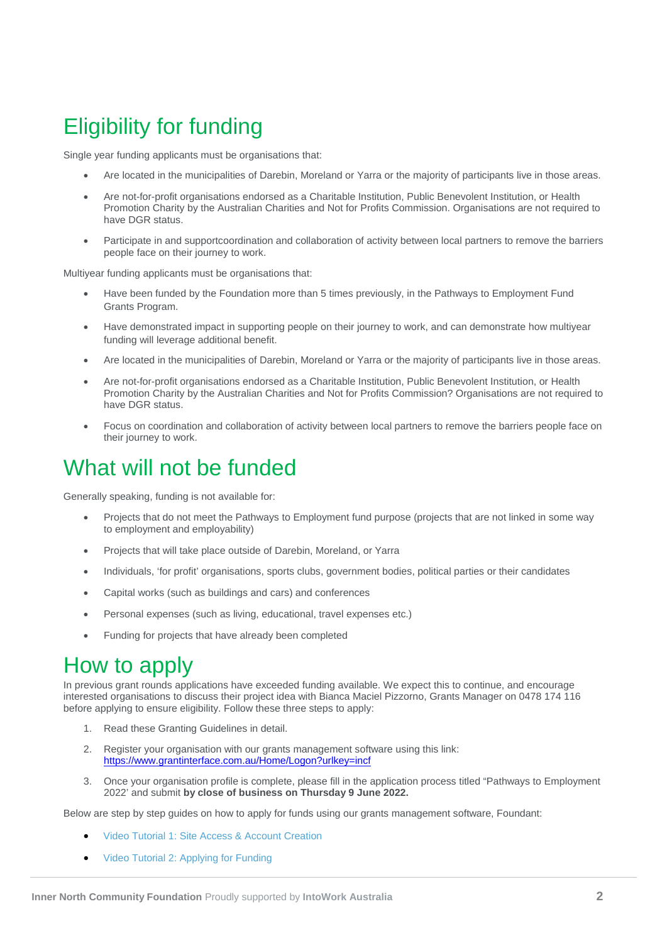# Eligibility for funding

Single year funding applicants must be organisations that:

- Are located in the municipalities of Darebin, Moreland or Yarra or the majority of participants live in those areas.
- Are not-for-profit organisations endorsed as a Charitable Institution, Public Benevolent Institution, or Health Promotion Charity by the Australian Charities and Not for Profits Commission. Organisations are not required to have DGR status.
- Participate in and supportcoordination and collaboration of activity between local partners to remove the barriers people face on their journey to work.

Multiyear funding applicants must be organisations that:

- Have been funded by the Foundation more than 5 times previously, in the Pathways to Employment Fund Grants Program.
- Have demonstrated impact in supporting people on their journey to work, and can demonstrate how multiyear funding will leverage additional benefit.
- Are located in the municipalities of Darebin, Moreland or Yarra or the majority of participants live in those areas.
- Are not-for-profit organisations endorsed as a Charitable Institution, Public Benevolent Institution, or Health Promotion Charity by the Australian Charities and Not for Profits Commission? Organisations are not required to have DGR status.
- Focus on coordination and collaboration of activity between local partners to remove the barriers people face on their journey to work.

#### What will not be funded

Generally speaking, funding is not available for:

- Projects that do not meet the Pathways to Employment fund purpose (projects that are not linked in some way to employment and employability)
- Projects that will take place outside of Darebin, Moreland, or Yarra
- Individuals, 'for profit' organisations, sports clubs, government bodies, political parties or their candidates
- Capital works (such as buildings and cars) and conferences
- Personal expenses (such as living, educational, travel expenses etc.)
- Funding for projects that have already been completed

#### How to apply

In previous grant rounds applications have exceeded funding available. We expect this to continue, and encourage interested organisations to discuss their project idea with Bianca Maciel Pizzorno, Grants Manager on 0478 174 116 before applying to ensure eligibility. Follow these three steps to apply:

- 1. Read these Granting Guidelines in detail.
- 2. Register your organisation with our grants management software using this link: <https://www.grantinterface.com.au/Home/Logon?urlkey=incf>
- 3. Once your organisation profile is complete, please fill in the application process titled "Pathways to Employment 2022' and submit **by close of business on Thursday 9 June 2022.**

Below are step by step guides on how to apply for funds using our grants management software, Foundant:

- [Video Tutorial 1: Site Access & Account Creation](https://drive.google.com/file/d/1O2-rkkxy9iQ1WLx2LKaBYr9LgFoXfaqt/view?usp=sharing)
- [Video Tutorial 2: Applying for Funding](https://drive.google.com/file/d/1cmTa7Hmacg4pqJpn5Xo92vp3RzRxfoeS/view?usp=sharing)